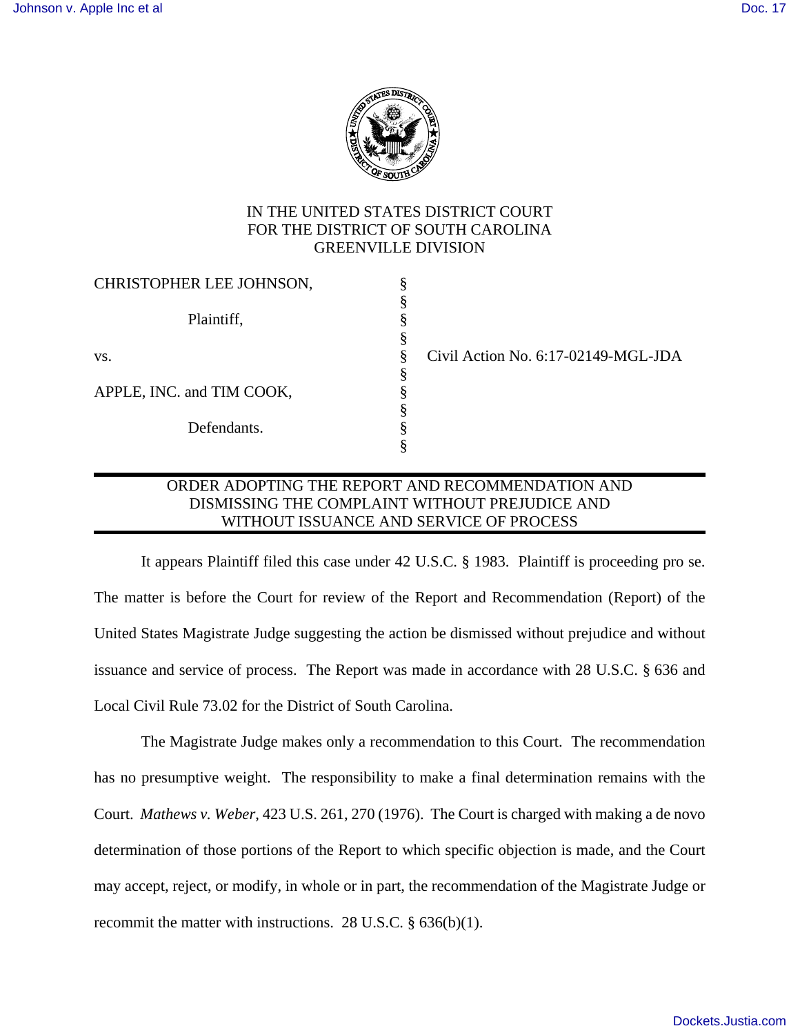

# IN THE UNITED STATES DISTRICT COURT FOR THE DISTRICT OF SOUTH CAROLINA GREENVILLE DIVISION

| CHRISTOPHER LEE JOHNSON,  |   |  |
|---------------------------|---|--|
|                           |   |  |
| Plaintiff,                |   |  |
|                           | § |  |
| VS.                       |   |  |
|                           |   |  |
| APPLE, INC. and TIM COOK, | § |  |
|                           | § |  |
| Defendants.               | 8 |  |
|                           |   |  |

 $i$ ivil Action No. 6:17-02149-MGL-JDA

# ORDER ADOPTING THE REPORT AND RECOMMENDATION AND DISMISSING THE COMPLAINT WITHOUT PREJUDICE AND WITHOUT ISSUANCE AND SERVICE OF PROCESS

 It appears Plaintiff filed this case under 42 U.S.C. § 1983. Plaintiff is proceeding pro se. The matter is before the Court for review of the Report and Recommendation (Report) of the United States Magistrate Judge suggesting the action be dismissed without prejudice and without issuance and service of process. The Report was made in accordance with 28 U.S.C. § 636 and Local Civil Rule 73.02 for the District of South Carolina.

The Magistrate Judge makes only a recommendation to this Court. The recommendation has no presumptive weight. The responsibility to make a final determination remains with the Court. *Mathews v. Weber*, 423 U.S. 261, 270 (1976). The Court is charged with making a de novo determination of those portions of the Report to which specific objection is made, and the Court may accept, reject, or modify, in whole or in part, the recommendation of the Magistrate Judge or recommit the matter with instructions. 28 U.S.C. § 636(b)(1).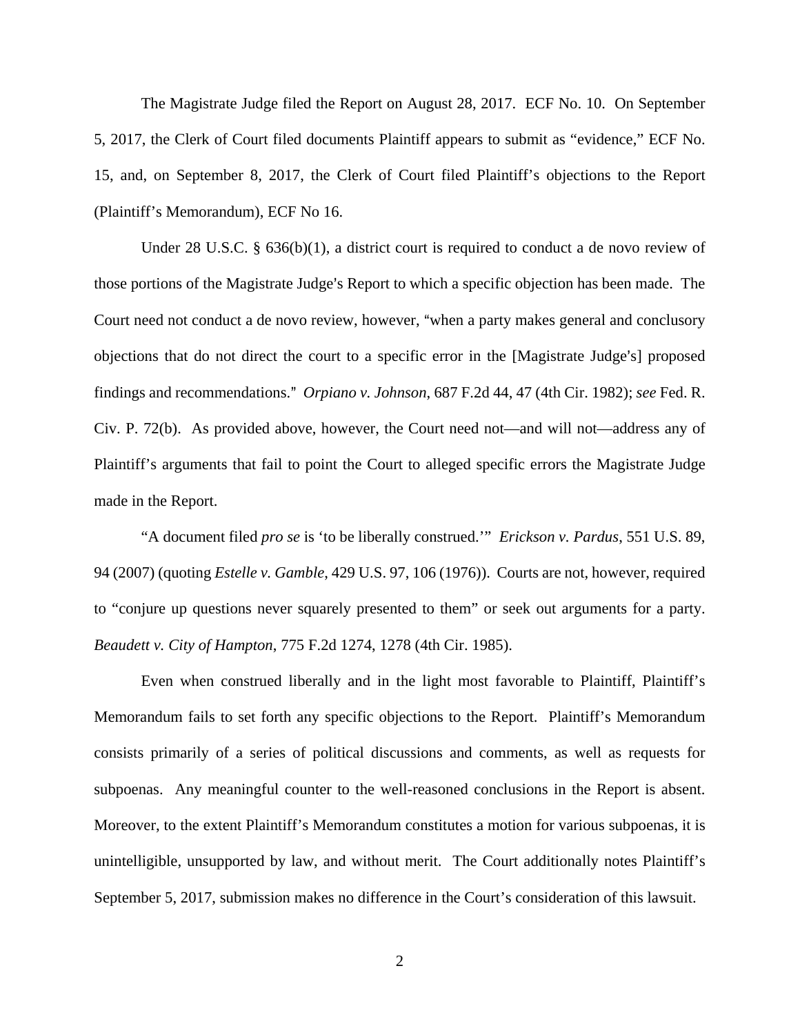The Magistrate Judge filed the Report on August 28, 2017. ECF No. 10. On September 5, 2017, the Clerk of Court filed documents Plaintiff appears to submit as "evidence," ECF No. 15, and, on September 8, 2017, the Clerk of Court filed Plaintiff's objections to the Report (Plaintiff's Memorandum), ECF No 16.

 Under 28 U.S.C. § 636(b)(1), a district court is required to conduct a de novo review of those portions of the Magistrate Judge's Report to which a specific objection has been made. The Court need not conduct a de novo review, however, "when a party makes general and conclusory objections that do not direct the court to a specific error in the [Magistrate Judge's] proposed findings and recommendations.@ *Orpiano v. Johnson*, 687 F.2d 44, 47 (4th Cir. 1982); *see* Fed. R. Civ. P. 72(b). As provided above, however, the Court need not—and will not—address any of Plaintiff's arguments that fail to point the Court to alleged specific errors the Magistrate Judge made in the Report.

"A document filed *pro se* is 'to be liberally construed.'" *Erickson v. Pardus*, 551 U.S. 89, 94 (2007) (quoting *Estelle v. Gamble*, 429 U.S. 97, 106 (1976)). Courts are not, however, required to "conjure up questions never squarely presented to them" or seek out arguments for a party. *Beaudett v. City of Hampton*, 775 F.2d 1274, 1278 (4th Cir. 1985).

Even when construed liberally and in the light most favorable to Plaintiff, Plaintiff's Memorandum fails to set forth any specific objections to the Report. Plaintiff's Memorandum consists primarily of a series of political discussions and comments, as well as requests for subpoenas. Any meaningful counter to the well-reasoned conclusions in the Report is absent. Moreover, to the extent Plaintiff's Memorandum constitutes a motion for various subpoenas, it is unintelligible, unsupported by law, and without merit. The Court additionally notes Plaintiff's September 5, 2017, submission makes no difference in the Court's consideration of this lawsuit.